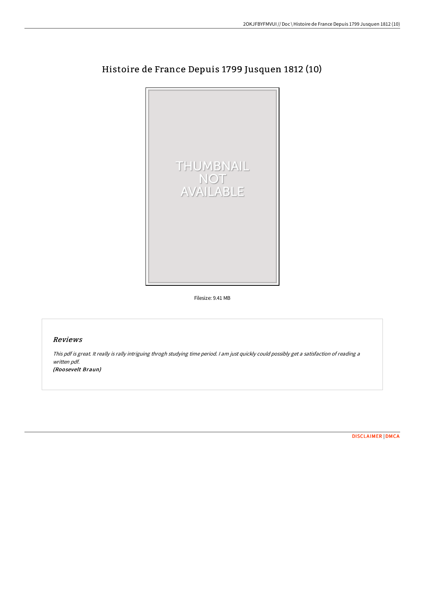

## Histoire de France Depuis 1799 Jusquen 1812 (10)

Filesize: 9.41 MB

## Reviews

This pdf is great. It really is rally intriguing throgh studying time period. <sup>I</sup> am just quickly could possibly get <sup>a</sup> satisfaction of reading <sup>a</sup> written pdf.

(Roosevelt Braun)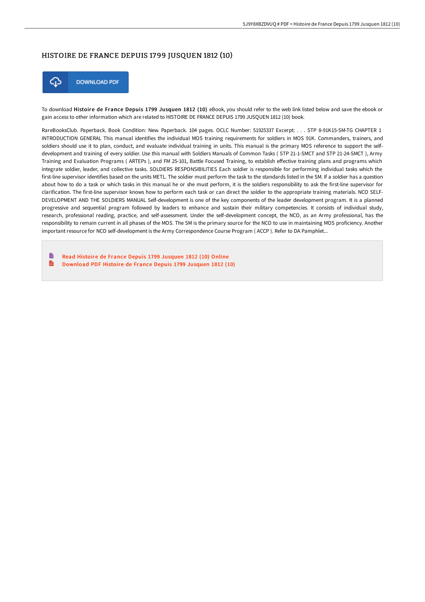## HISTOIRE DE FRANCE DEPUIS 1799 JUSQUEN 1812 (10)



To download Histoire de France Depuis 1799 Jusquen 1812 (10) eBook, you should refer to the web link listed below and save the ebook or gain access to other information which are related to HISTOIRE DE FRANCE DEPUIS 1799 JUSQUEN 1812 (10) book.

RareBooksClub. Paperback. Book Condition: New. Paperback. 104 pages. OCLC Number: 51925337 Excerpt: . . . STP 8-91K15-SM-TG CHAPTER 1 INTRODUCTION GENERAL This manual identifies the individual MOS training requirements for soldiers in MOS 91K. Commanders, trainers, and soldiers should use it to plan, conduct, and evaluate individual training in units. This manual is the primary MOS reference to support the selfdevelopment and training of every soldier. Use this manual with Soldiers Manuals of Common Tasks ( STP 21-1-SMCT and STP 21-24-SMCT ), Army Training and Evaluation Programs (ARTEPs), and FM 25-101, Battle Focused Training, to establish effective training plans and programs which integrate soldier, leader, and collective tasks. SOLDIERS RESPONSIBILITIES Each soldier is responsible for performing individual tasks which the first-line supervisor identifies based on the units METL. The soldier must perform the task to the standards listed in the SM. If a soldier has a question about how to do a task or which tasks in this manual he or she must perform, it is the soldiers responsibility to ask the first-line supervisor for clarification. The first-line supervisor knows how to perform each task or can direct the soldier to the appropriate training materials. NCO SELF-DEVELOPMENT AND THE SOLDIERS MANUAL Self-development is one of the key components of the leader development program. It is a planned progressive and sequential program followed by leaders to enhance and sustain their military competencies. It consists of individual study, research, professional reading, practice, and self-assessment. Under the self-development concept, the NCO, as an Army professional, has the responsibility to remain current in all phases of the MOS. The SM is the primary source for the NCO to use in maintaining MOS proficiency. Another important resource for NCO self-development is the Army Correspondence Course Program ( ACCP ). Refer to DA Pamphlet...

B Read Histoire de France Depuis 1799 [Jusquen](http://techno-pub.tech/histoire-de-france-depuis-1799-jusquen-1812-10.html) 1812 (10) Online R [Download](http://techno-pub.tech/histoire-de-france-depuis-1799-jusquen-1812-10.html) PDF Histoire de France Depuis 1799 Jusquen 1812 (10)